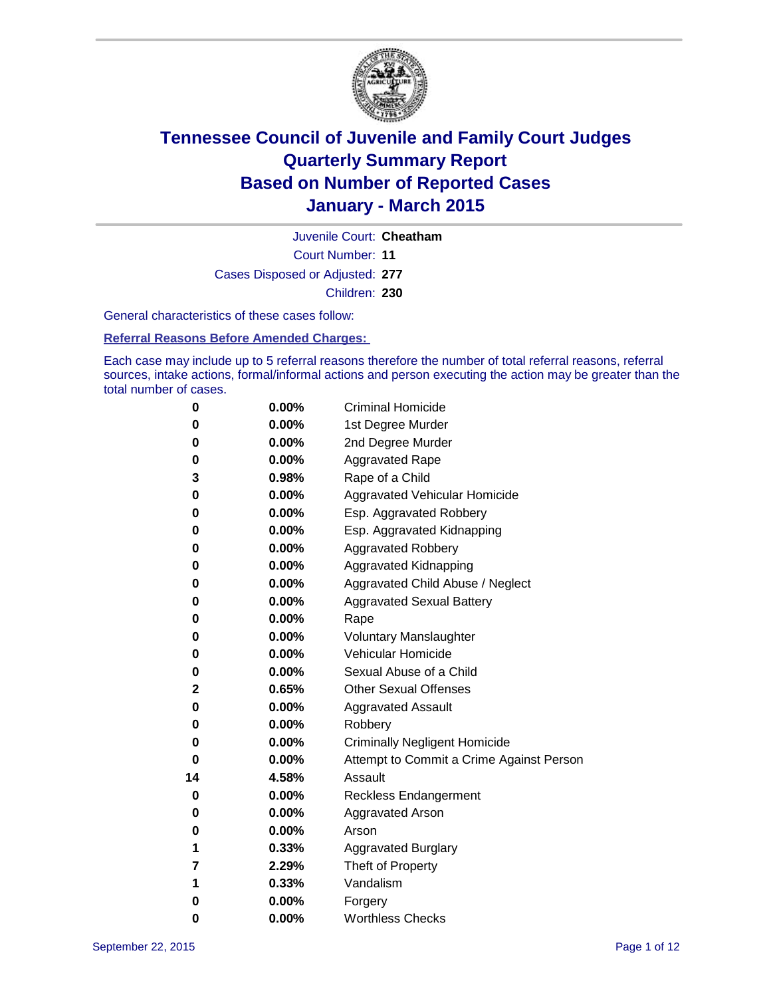

Court Number: **11** Juvenile Court: **Cheatham** Cases Disposed or Adjusted: **277** Children: **230**

General characteristics of these cases follow:

**Referral Reasons Before Amended Charges:** 

Each case may include up to 5 referral reasons therefore the number of total referral reasons, referral sources, intake actions, formal/informal actions and person executing the action may be greater than the total number of cases.

| 0  | $0.00\%$ | <b>Criminal Homicide</b>                 |
|----|----------|------------------------------------------|
| 0  | 0.00%    | 1st Degree Murder                        |
| 0  | 0.00%    | 2nd Degree Murder                        |
| 0  | $0.00\%$ | <b>Aggravated Rape</b>                   |
| 3  | 0.98%    | Rape of a Child                          |
| 0  | 0.00%    | Aggravated Vehicular Homicide            |
| 0  | 0.00%    | Esp. Aggravated Robbery                  |
| 0  | $0.00\%$ | Esp. Aggravated Kidnapping               |
| 0  | 0.00%    | <b>Aggravated Robbery</b>                |
| 0  | 0.00%    | <b>Aggravated Kidnapping</b>             |
| 0  | 0.00%    | Aggravated Child Abuse / Neglect         |
| 0  | 0.00%    | <b>Aggravated Sexual Battery</b>         |
| 0  | 0.00%    | Rape                                     |
| 0  | $0.00\%$ | <b>Voluntary Manslaughter</b>            |
| 0  | $0.00\%$ | <b>Vehicular Homicide</b>                |
| 0  | 0.00%    | Sexual Abuse of a Child                  |
| 2  | 0.65%    | <b>Other Sexual Offenses</b>             |
| 0  | 0.00%    | <b>Aggravated Assault</b>                |
| 0  | 0.00%    | Robbery                                  |
| 0  | 0.00%    | <b>Criminally Negligent Homicide</b>     |
| 0  | 0.00%    | Attempt to Commit a Crime Against Person |
| 14 | 4.58%    | Assault                                  |
| 0  | 0.00%    | <b>Reckless Endangerment</b>             |
| 0  | $0.00\%$ | <b>Aggravated Arson</b>                  |
| 0  | $0.00\%$ | Arson                                    |
| 1  | 0.33%    | <b>Aggravated Burglary</b>               |
| 7  | 2.29%    | Theft of Property                        |
| 1  | 0.33%    | Vandalism                                |
| 0  | 0.00%    | Forgery                                  |
| 0  | 0.00%    | <b>Worthless Checks</b>                  |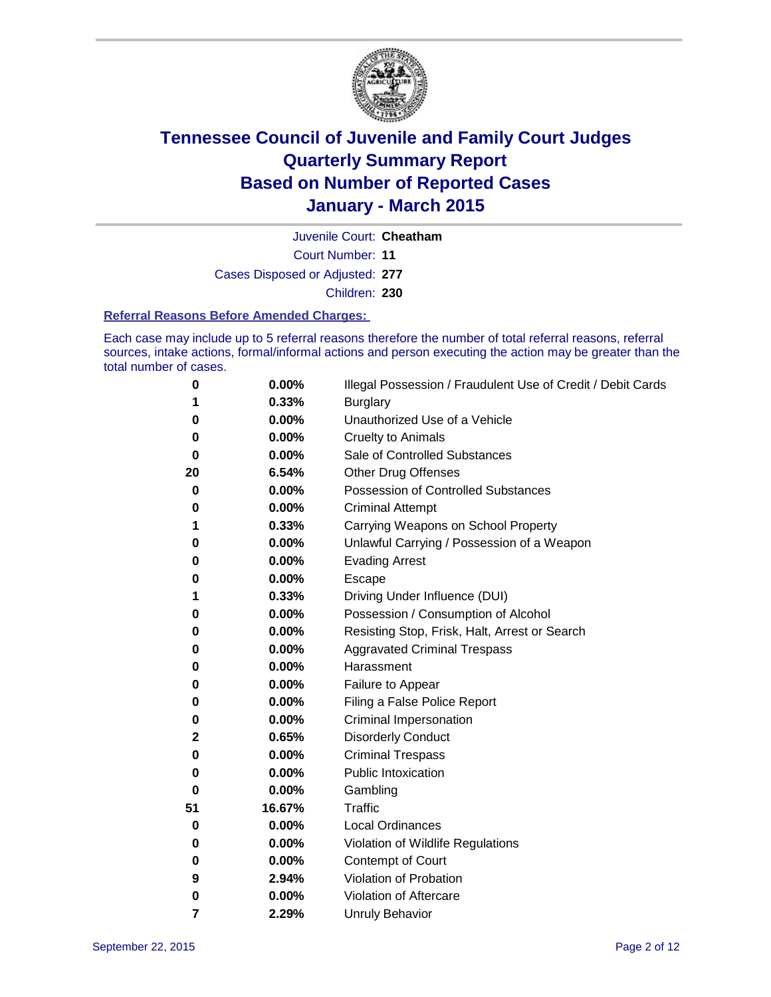

Court Number: **11** Juvenile Court: **Cheatham** Cases Disposed or Adjusted: **277** Children: **230**

#### **Referral Reasons Before Amended Charges:**

Each case may include up to 5 referral reasons therefore the number of total referral reasons, referral sources, intake actions, formal/informal actions and person executing the action may be greater than the total number of cases.

| 0        | 0.00%  | Illegal Possession / Fraudulent Use of Credit / Debit Cards |
|----------|--------|-------------------------------------------------------------|
| 1        | 0.33%  | <b>Burglary</b>                                             |
| 0        | 0.00%  | Unauthorized Use of a Vehicle                               |
| 0        | 0.00%  | <b>Cruelty to Animals</b>                                   |
| 0        | 0.00%  | Sale of Controlled Substances                               |
| 20       | 6.54%  | <b>Other Drug Offenses</b>                                  |
| 0        | 0.00%  | Possession of Controlled Substances                         |
| 0        | 0.00%  | <b>Criminal Attempt</b>                                     |
| 1        | 0.33%  | Carrying Weapons on School Property                         |
| 0        | 0.00%  | Unlawful Carrying / Possession of a Weapon                  |
| 0        | 0.00%  | <b>Evading Arrest</b>                                       |
| 0        | 0.00%  | Escape                                                      |
| 1        | 0.33%  | Driving Under Influence (DUI)                               |
| 0        | 0.00%  | Possession / Consumption of Alcohol                         |
| 0        | 0.00%  | Resisting Stop, Frisk, Halt, Arrest or Search               |
| 0        | 0.00%  | <b>Aggravated Criminal Trespass</b>                         |
| 0        | 0.00%  | Harassment                                                  |
| 0        | 0.00%  | Failure to Appear                                           |
| 0        | 0.00%  | Filing a False Police Report                                |
| 0        | 0.00%  | Criminal Impersonation                                      |
| 2        | 0.65%  | <b>Disorderly Conduct</b>                                   |
| 0        | 0.00%  | <b>Criminal Trespass</b>                                    |
| $\bf{0}$ | 0.00%  | <b>Public Intoxication</b>                                  |
| 0        | 0.00%  | Gambling                                                    |
| 51       | 16.67% | Traffic                                                     |
| 0        | 0.00%  | <b>Local Ordinances</b>                                     |
| 0        | 0.00%  | Violation of Wildlife Regulations                           |
| 0        | 0.00%  | <b>Contempt of Court</b>                                    |
| 9        | 2.94%  | Violation of Probation                                      |
| 0        | 0.00%  | Violation of Aftercare                                      |
| 7        | 2.29%  | <b>Unruly Behavior</b>                                      |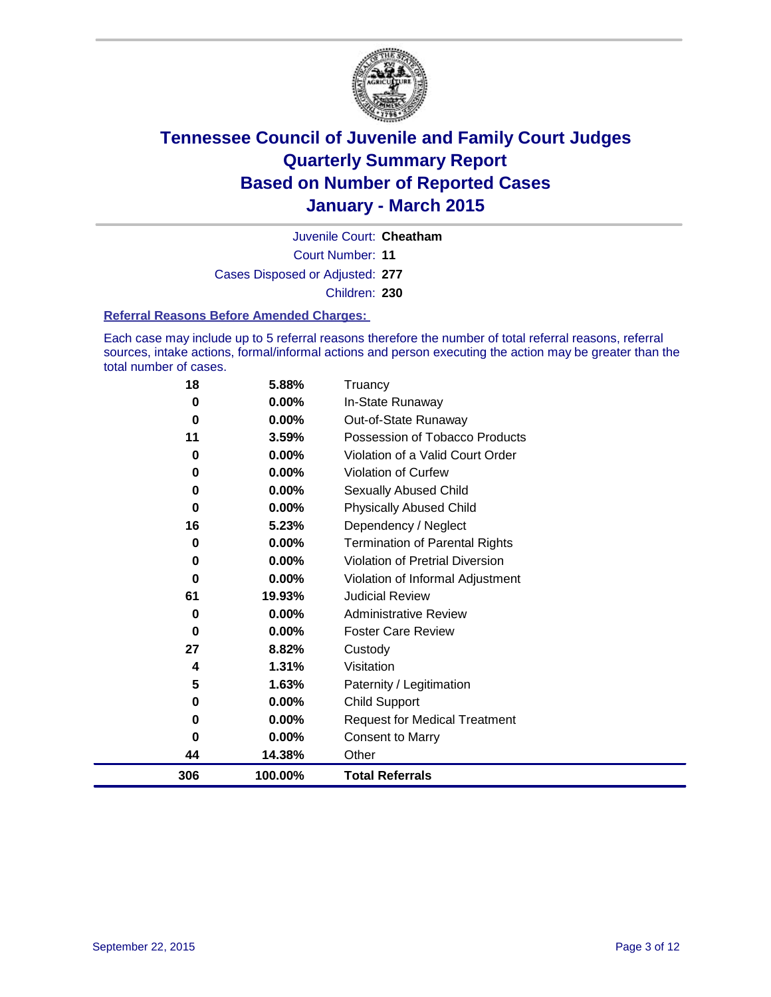

Court Number: **11** Juvenile Court: **Cheatham** Cases Disposed or Adjusted: **277** Children: **230**

#### **Referral Reasons Before Amended Charges:**

Each case may include up to 5 referral reasons therefore the number of total referral reasons, referral sources, intake actions, formal/informal actions and person executing the action may be greater than the total number of cases.

| 18  | 5.88%    | Truancy                                |
|-----|----------|----------------------------------------|
| 0   | $0.00\%$ | In-State Runaway                       |
| 0   | 0.00%    | Out-of-State Runaway                   |
| 11  | 3.59%    | Possession of Tobacco Products         |
| 0   | 0.00%    | Violation of a Valid Court Order       |
| 0   | $0.00\%$ | Violation of Curfew                    |
| 0   | 0.00%    | Sexually Abused Child                  |
| 0   | 0.00%    | <b>Physically Abused Child</b>         |
| 16  | 5.23%    | Dependency / Neglect                   |
| 0   | 0.00%    | <b>Termination of Parental Rights</b>  |
| 0   | 0.00%    | <b>Violation of Pretrial Diversion</b> |
| 0   | 0.00%    | Violation of Informal Adjustment       |
| 61  | 19.93%   | <b>Judicial Review</b>                 |
| 0   | 0.00%    | <b>Administrative Review</b>           |
| 0   | 0.00%    | <b>Foster Care Review</b>              |
| 27  | 8.82%    | Custody                                |
| 4   | 1.31%    | Visitation                             |
| 5   | 1.63%    | Paternity / Legitimation               |
| 0   | 0.00%    | <b>Child Support</b>                   |
| 0   | 0.00%    | <b>Request for Medical Treatment</b>   |
| 0   | 0.00%    | <b>Consent to Marry</b>                |
| 44  | 14.38%   | Other                                  |
| 306 | 100.00%  | <b>Total Referrals</b>                 |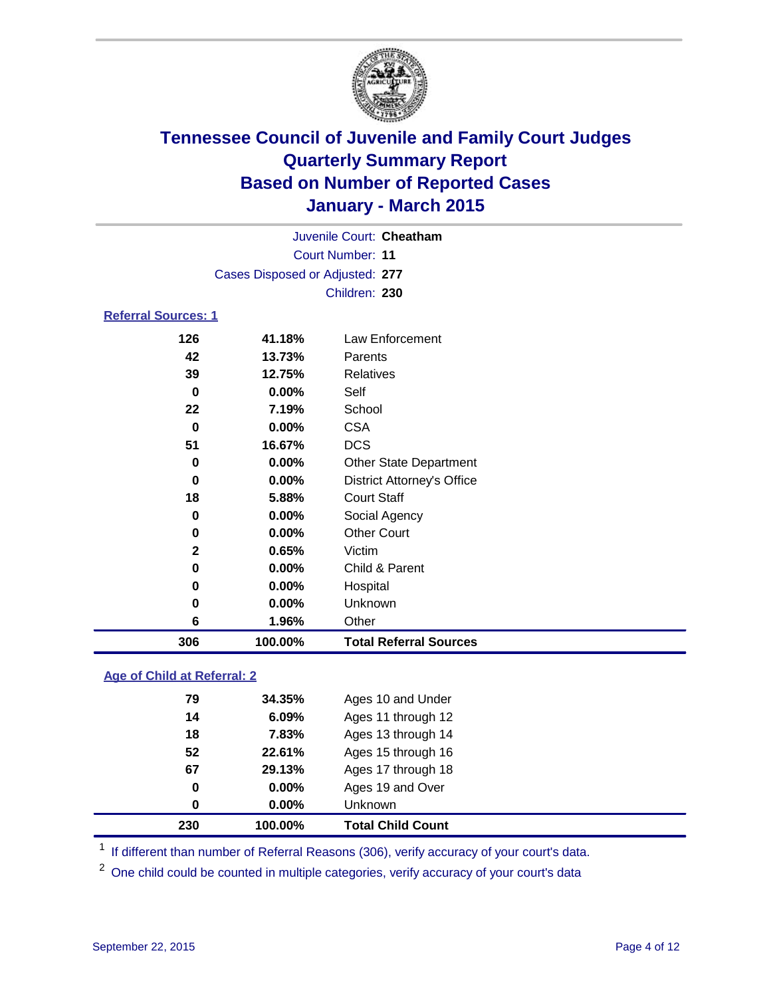

| Juvenile Court: Cheatham        |  |
|---------------------------------|--|
| Court Number: 11                |  |
| Cases Disposed or Adjusted: 277 |  |
| Children: 230                   |  |

### **Referral Sources: 1**

| 306          | 100.00%  | <b>Total Referral Sources</b>     |
|--------------|----------|-----------------------------------|
| 6            | 1.96%    | Other                             |
| 0            | $0.00\%$ | Unknown                           |
| 0            | 0.00%    | Hospital                          |
| 0            | $0.00\%$ | Child & Parent                    |
| $\mathbf{2}$ | 0.65%    | Victim                            |
| 0            | $0.00\%$ | <b>Other Court</b>                |
| 0            | $0.00\%$ | Social Agency                     |
| 18           | 5.88%    | <b>Court Staff</b>                |
| 0            | $0.00\%$ | <b>District Attorney's Office</b> |
| 0            | $0.00\%$ | <b>Other State Department</b>     |
| 51           | 16.67%   | <b>DCS</b>                        |
| 0            | $0.00\%$ | <b>CSA</b>                        |
| 22           | 7.19%    | School                            |
| 0            | $0.00\%$ | Self                              |
| 39           | 12.75%   | Relatives                         |
| 42           | 13.73%   | Parents                           |
| 126          | 41.18%   | Law Enforcement                   |

### **Age of Child at Referral: 2**

| 230 | 100.00%  | <b>Total Child Count</b> |
|-----|----------|--------------------------|
| 0   | $0.00\%$ | <b>Unknown</b>           |
| 0   | $0.00\%$ | Ages 19 and Over         |
| 67  | 29.13%   | Ages 17 through 18       |
| 52  | 22.61%   | Ages 15 through 16       |
| 18  | 7.83%    | Ages 13 through 14       |
| 14  | 6.09%    | Ages 11 through 12       |
| 79  | 34.35%   | Ages 10 and Under        |

<sup>1</sup> If different than number of Referral Reasons (306), verify accuracy of your court's data.

One child could be counted in multiple categories, verify accuracy of your court's data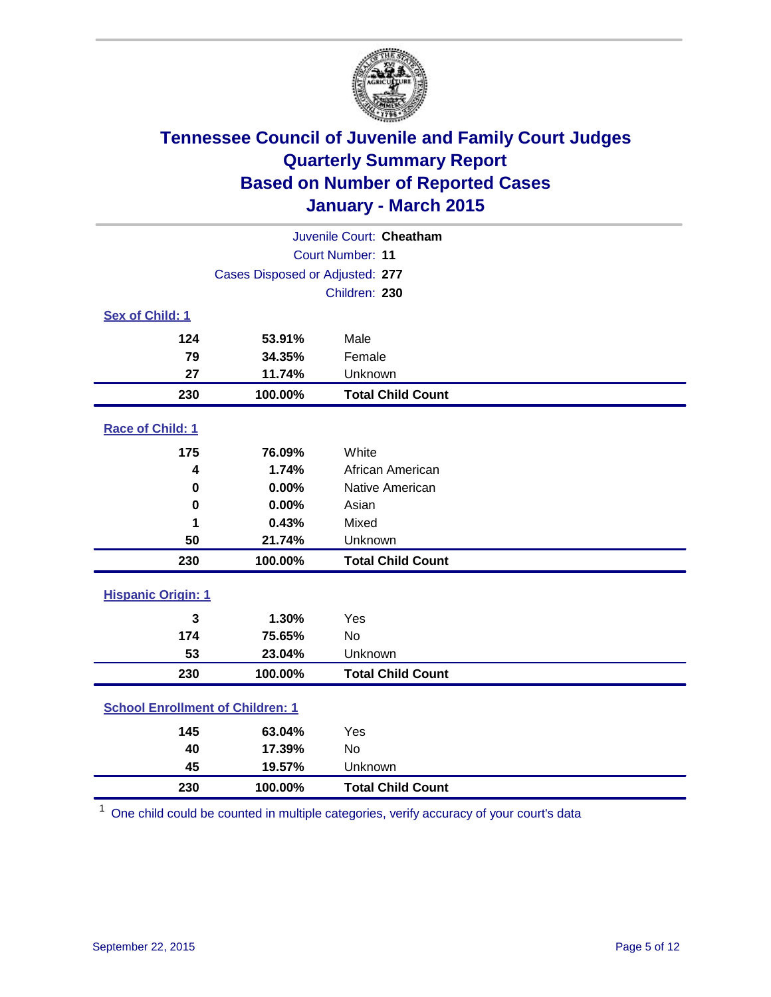

|                                         | Juvenile Court: Cheatham            |                          |  |  |  |  |
|-----------------------------------------|-------------------------------------|--------------------------|--|--|--|--|
| Court Number: 11                        |                                     |                          |  |  |  |  |
|                                         | Cases Disposed or Adjusted: 277     |                          |  |  |  |  |
|                                         |                                     | Children: 230            |  |  |  |  |
| Sex of Child: 1                         |                                     |                          |  |  |  |  |
| 124                                     | 53.91%                              | Male                     |  |  |  |  |
| 79                                      | 34.35%                              | Female                   |  |  |  |  |
| 27                                      | 11.74%                              | Unknown                  |  |  |  |  |
| 230                                     | 100.00%                             | <b>Total Child Count</b> |  |  |  |  |
| Race of Child: 1                        |                                     |                          |  |  |  |  |
| 175                                     | 76.09%                              | White                    |  |  |  |  |
| 4                                       | 1.74%                               | African American         |  |  |  |  |
| 0                                       | 0.00%                               | Native American          |  |  |  |  |
| 0                                       | 0.00%                               | Asian                    |  |  |  |  |
| 1                                       | 0.43%                               | Mixed                    |  |  |  |  |
| 50                                      | 21.74%                              | Unknown                  |  |  |  |  |
| 230                                     | 100.00%                             | <b>Total Child Count</b> |  |  |  |  |
| <b>Hispanic Origin: 1</b>               |                                     |                          |  |  |  |  |
| $\overline{3}$                          | 1.30%                               | Yes                      |  |  |  |  |
| 174                                     | 75.65%                              | <b>No</b>                |  |  |  |  |
| 53                                      | 23.04%                              | Unknown                  |  |  |  |  |
| 230                                     | 100.00%<br><b>Total Child Count</b> |                          |  |  |  |  |
| <b>School Enrollment of Children: 1</b> |                                     |                          |  |  |  |  |
| 145                                     | 63.04%                              | Yes                      |  |  |  |  |
| 40                                      | 17.39%                              | No                       |  |  |  |  |
| 45                                      | 19.57%                              | Unknown                  |  |  |  |  |
| 230                                     | <b>Total Child Count</b><br>100.00% |                          |  |  |  |  |

One child could be counted in multiple categories, verify accuracy of your court's data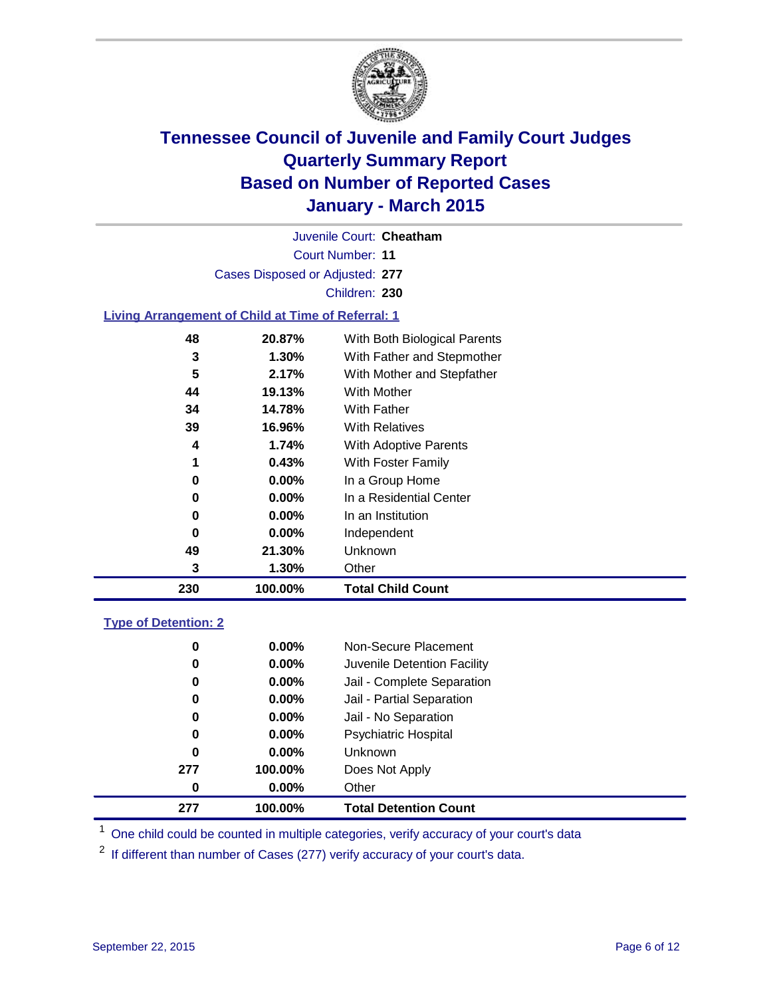

Court Number: **11** Juvenile Court: **Cheatham** Cases Disposed or Adjusted: **277** Children: **230**

### **Living Arrangement of Child at Time of Referral: 1**

| 230 | 100.00%  | <b>Total Child Count</b>     |
|-----|----------|------------------------------|
| 3   | 1.30%    | Other                        |
| 49  | 21.30%   | Unknown                      |
| 0   | $0.00\%$ | Independent                  |
| 0   | $0.00\%$ | In an Institution            |
| 0   | $0.00\%$ | In a Residential Center      |
| 0   | $0.00\%$ | In a Group Home              |
| 1   | 0.43%    | With Foster Family           |
| 4   | 1.74%    | <b>With Adoptive Parents</b> |
| 39  | 16.96%   | <b>With Relatives</b>        |
| 34  | 14.78%   | With Father                  |
| 44  | 19.13%   | With Mother                  |
| 5   | 2.17%    | With Mother and Stepfather   |
| 3   | $1.30\%$ | With Father and Stepmother   |
| 48  | 20.87%   | With Both Biological Parents |
|     |          |                              |

#### **Type of Detention: 2**

| 0   | $0.00\%$ | Non-Secure Placement         |
|-----|----------|------------------------------|
| 0   | $0.00\%$ | Juvenile Detention Facility  |
| 0   | $0.00\%$ | Jail - Complete Separation   |
| 0   | $0.00\%$ | Jail - Partial Separation    |
| 0   | $0.00\%$ | Jail - No Separation         |
| 0   | $0.00\%$ | <b>Psychiatric Hospital</b>  |
| 0   | $0.00\%$ | <b>Unknown</b>               |
| 277 | 100.00%  | Does Not Apply               |
| 0   | $0.00\%$ | Other                        |
| 277 | 100.00%  | <b>Total Detention Count</b> |

<sup>1</sup> One child could be counted in multiple categories, verify accuracy of your court's data

If different than number of Cases (277) verify accuracy of your court's data.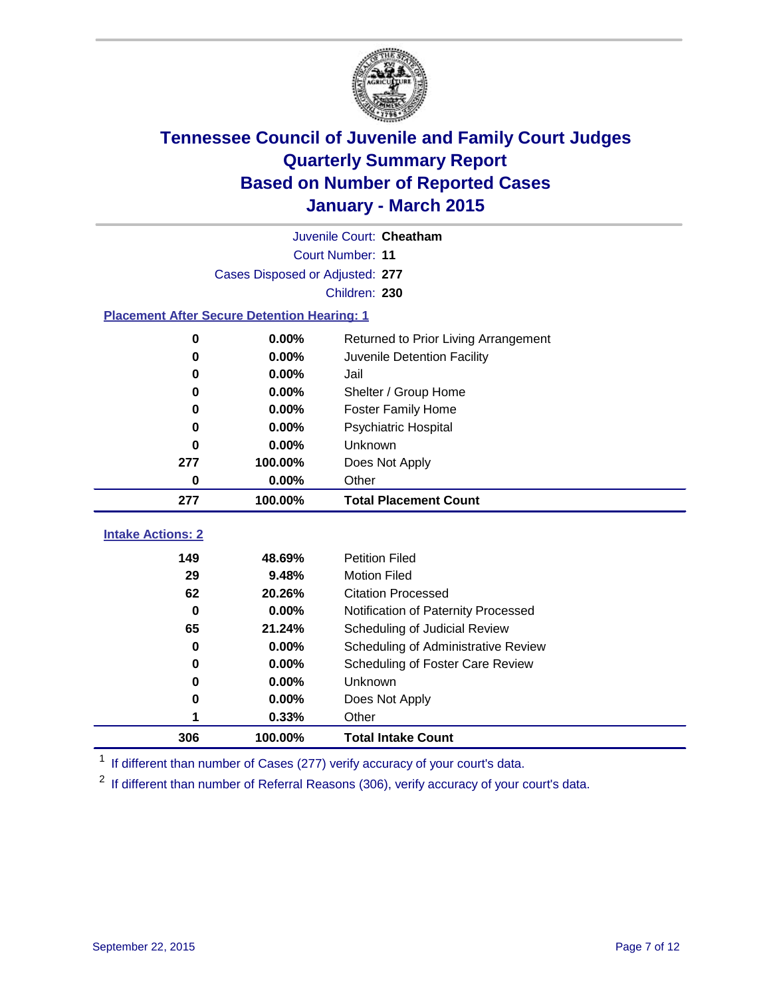

| Juvenile Court: Cheatham                           |                                 |                                      |  |  |  |  |  |  |
|----------------------------------------------------|---------------------------------|--------------------------------------|--|--|--|--|--|--|
| <b>Court Number: 11</b>                            |                                 |                                      |  |  |  |  |  |  |
|                                                    | Cases Disposed or Adjusted: 277 |                                      |  |  |  |  |  |  |
|                                                    | Children: 230                   |                                      |  |  |  |  |  |  |
| <b>Placement After Secure Detention Hearing: 1</b> |                                 |                                      |  |  |  |  |  |  |
| 0                                                  | 0.00%                           | Returned to Prior Living Arrangement |  |  |  |  |  |  |
| 0                                                  | 0.00%                           | Juvenile Detention Facility          |  |  |  |  |  |  |
| 0                                                  | 0.00%                           | Jail                                 |  |  |  |  |  |  |
| $\bf{0}$                                           | 0.00%                           | Shelter / Group Home                 |  |  |  |  |  |  |
| 0                                                  | $0.00\%$                        | <b>Foster Family Home</b>            |  |  |  |  |  |  |
| 0                                                  | 0.00%                           | Psychiatric Hospital                 |  |  |  |  |  |  |
| 0                                                  | 0.00%                           | Unknown                              |  |  |  |  |  |  |
| 277                                                | 100.00%                         | Does Not Apply                       |  |  |  |  |  |  |
| $0.00\%$<br>Other<br>$\mathbf 0$                   |                                 |                                      |  |  |  |  |  |  |
| 100.00%<br><b>Total Placement Count</b><br>277     |                                 |                                      |  |  |  |  |  |  |
| <b>Intake Actions: 2</b>                           |                                 |                                      |  |  |  |  |  |  |
| 149                                                | 48.69%                          | <b>Petition Filed</b>                |  |  |  |  |  |  |
| 29                                                 | 9.48%                           | <b>Motion Filed</b>                  |  |  |  |  |  |  |
| 62                                                 | 20.26%                          | <b>Citation Processed</b>            |  |  |  |  |  |  |
| $\bf{0}$                                           | 0.00%                           | Notification of Paternity Processed  |  |  |  |  |  |  |
| 65                                                 | 21.24%                          | Scheduling of Judicial Review        |  |  |  |  |  |  |
| 0                                                  | 0.00%                           | Scheduling of Administrative Review  |  |  |  |  |  |  |
| 0                                                  | 0.00%                           | Scheduling of Foster Care Review     |  |  |  |  |  |  |
| 0                                                  | 0.00%                           | <b>Unknown</b>                       |  |  |  |  |  |  |
| 0                                                  | 0.00%                           | Does Not Apply                       |  |  |  |  |  |  |
| 1                                                  | 0.33%                           | Other                                |  |  |  |  |  |  |

<sup>1</sup> If different than number of Cases (277) verify accuracy of your court's data.

**100.00% Total Intake Count**

<sup>2</sup> If different than number of Referral Reasons (306), verify accuracy of your court's data.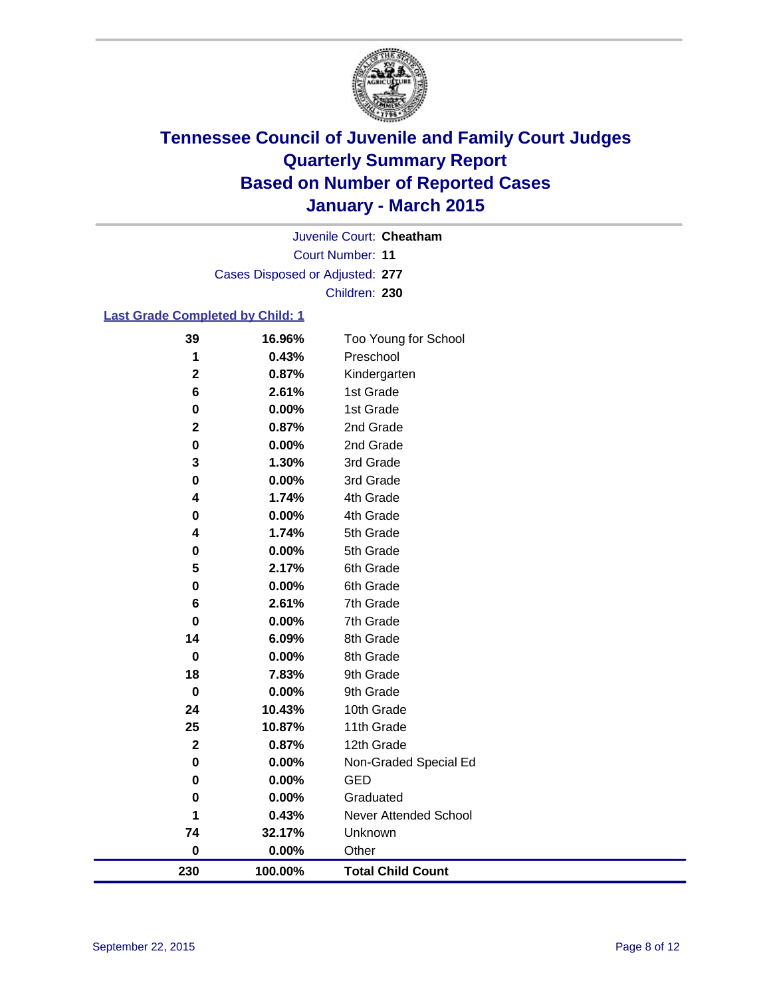

Court Number: **11** Juvenile Court: **Cheatham** Cases Disposed or Adjusted: **277** Children: **230**

### **Last Grade Completed by Child: 1**

| 39           | 16.96%  | Too Young for School     |
|--------------|---------|--------------------------|
| 1            | 0.43%   | Preschool                |
| $\mathbf 2$  | 0.87%   | Kindergarten             |
| 6            | 2.61%   | 1st Grade                |
| 0            | 0.00%   | 1st Grade                |
| $\mathbf{2}$ | 0.87%   | 2nd Grade                |
| $\pmb{0}$    | 0.00%   | 2nd Grade                |
| 3            | 1.30%   | 3rd Grade                |
| 0            | 0.00%   | 3rd Grade                |
| 4            | 1.74%   | 4th Grade                |
| 0            | 0.00%   | 4th Grade                |
| 4            | 1.74%   | 5th Grade                |
| 0            | 0.00%   | 5th Grade                |
| 5            | 2.17%   | 6th Grade                |
| 0            | 0.00%   | 6th Grade                |
| 6            | 2.61%   | 7th Grade                |
| 0            | 0.00%   | 7th Grade                |
| 14           | 6.09%   | 8th Grade                |
| $\mathbf 0$  | 0.00%   | 8th Grade                |
| 18           | 7.83%   | 9th Grade                |
| $\mathbf 0$  | 0.00%   | 9th Grade                |
| 24           | 10.43%  | 10th Grade               |
| 25           | 10.87%  | 11th Grade               |
| $\mathbf 2$  | 0.87%   | 12th Grade               |
| 0            | 0.00%   | Non-Graded Special Ed    |
| 0            | 0.00%   | <b>GED</b>               |
| 0            | 0.00%   | Graduated                |
| 1            | 0.43%   | Never Attended School    |
| 74           | 32.17%  | Unknown                  |
| $\pmb{0}$    | 0.00%   | Other                    |
| 230          | 100.00% | <b>Total Child Count</b> |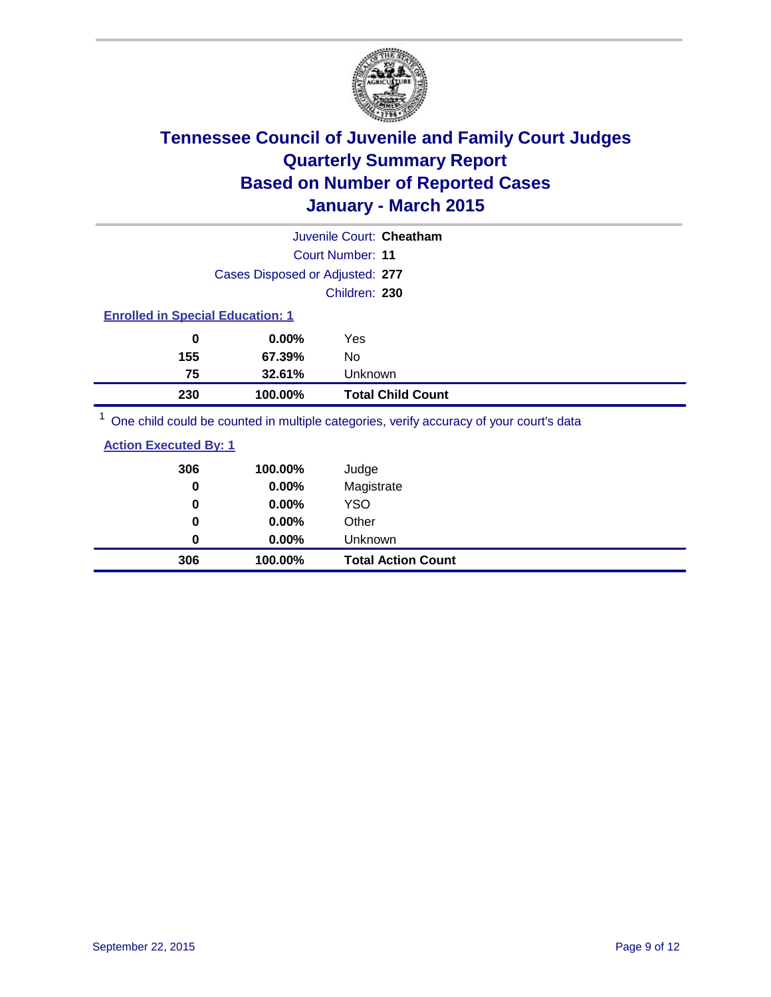

| Juvenile Court: Cheatham                |                                 |               |                          |  |  |  |  |
|-----------------------------------------|---------------------------------|---------------|--------------------------|--|--|--|--|
| <b>Court Number: 11</b>                 |                                 |               |                          |  |  |  |  |
|                                         | Cases Disposed or Adjusted: 277 |               |                          |  |  |  |  |
|                                         |                                 | Children: 230 |                          |  |  |  |  |
| <b>Enrolled in Special Education: 1</b> |                                 |               |                          |  |  |  |  |
| 0                                       | $0.00\%$                        | Yes           |                          |  |  |  |  |
| 155                                     | 67.39%                          | No            |                          |  |  |  |  |
| 75                                      | 32.61%                          | Unknown       |                          |  |  |  |  |
| 230                                     | 100.00%                         |               | <b>Total Child Count</b> |  |  |  |  |
| $\overline{ }$                          |                                 |               |                          |  |  |  |  |

<sup>1</sup> One child could be counted in multiple categories, verify accuracy of your court's data

| <b>Action Executed By: 1</b> |
|------------------------------|
|------------------------------|

| 306 | 100.00%  | <b>Total Action Count</b> |
|-----|----------|---------------------------|
| 0   | $0.00\%$ | Unknown                   |
| 0   | $0.00\%$ | Other                     |
| 0   | $0.00\%$ | <b>YSO</b>                |
| 0   | 0.00%    | Magistrate                |
| 306 | 100.00%  | Judge                     |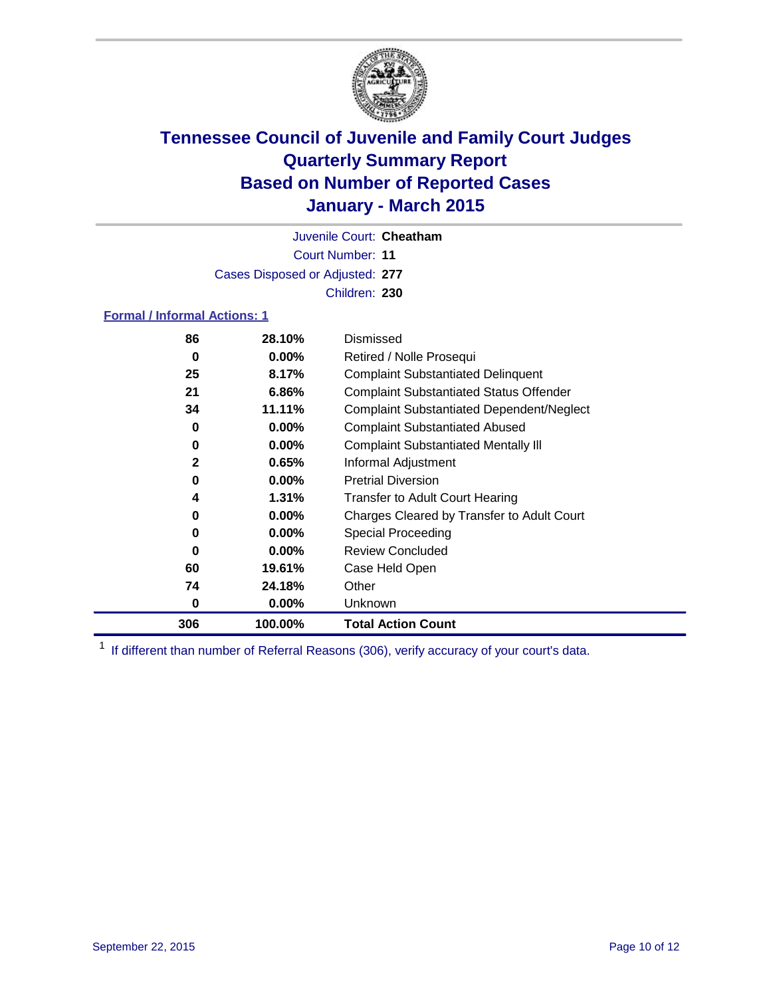

Court Number: **11** Juvenile Court: **Cheatham** Cases Disposed or Adjusted: **277** Children: **230**

### **Formal / Informal Actions: 1**

| 86           | 28.10%   | Dismissed                                        |
|--------------|----------|--------------------------------------------------|
| 0            | $0.00\%$ | Retired / Nolle Prosequi                         |
| 25           | 8.17%    | <b>Complaint Substantiated Delinquent</b>        |
| 21           | $6.86\%$ | <b>Complaint Substantiated Status Offender</b>   |
| 34           | 11.11%   | <b>Complaint Substantiated Dependent/Neglect</b> |
| 0            | $0.00\%$ | <b>Complaint Substantiated Abused</b>            |
| 0            | $0.00\%$ | <b>Complaint Substantiated Mentally III</b>      |
| $\mathbf{2}$ | 0.65%    | Informal Adjustment                              |
| 0            | $0.00\%$ | <b>Pretrial Diversion</b>                        |
| 4            | $1.31\%$ | <b>Transfer to Adult Court Hearing</b>           |
| 0            | $0.00\%$ | Charges Cleared by Transfer to Adult Court       |
| 0            | $0.00\%$ | Special Proceeding                               |
| 0            | $0.00\%$ | <b>Review Concluded</b>                          |
| 60           | 19.61%   | Case Held Open                                   |
| 74           | 24.18%   | Other                                            |
| 0            | $0.00\%$ | <b>Unknown</b>                                   |
| 306          | 100.00%  | <b>Total Action Count</b>                        |

<sup>1</sup> If different than number of Referral Reasons (306), verify accuracy of your court's data.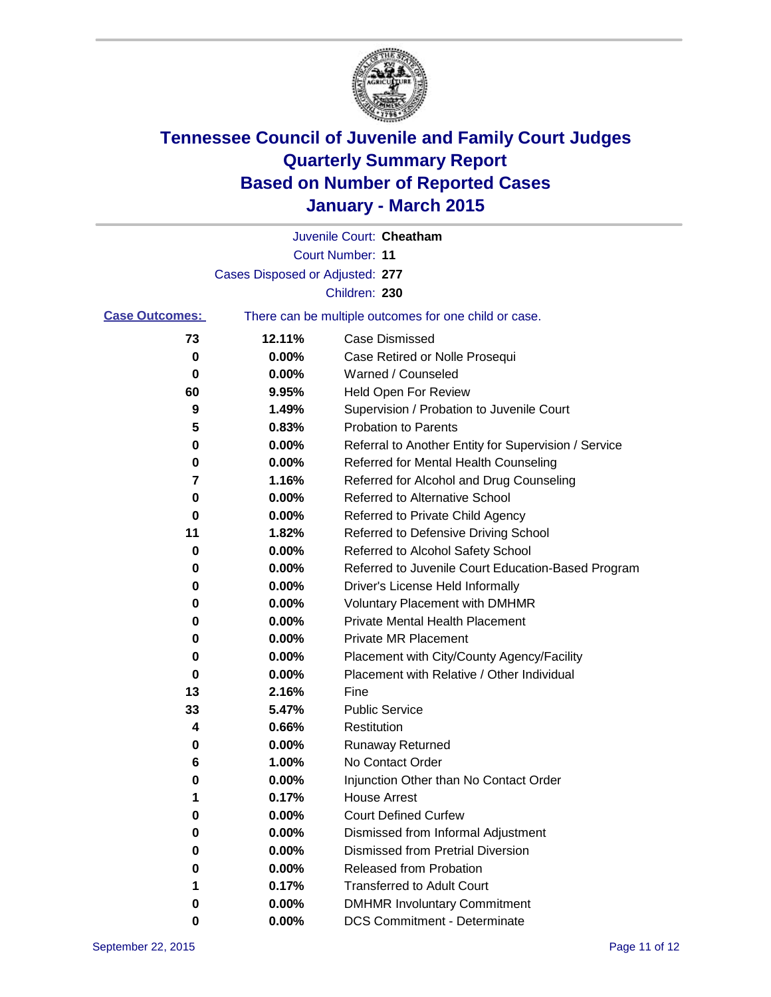

|                       |                                 | Juvenile Court: Cheatham                              |
|-----------------------|---------------------------------|-------------------------------------------------------|
|                       |                                 | <b>Court Number: 11</b>                               |
|                       | Cases Disposed or Adjusted: 277 |                                                       |
|                       |                                 | Children: 230                                         |
| <b>Case Outcomes:</b> |                                 | There can be multiple outcomes for one child or case. |
| 73                    | 12.11%                          | <b>Case Dismissed</b>                                 |
| 0                     | 0.00%                           | Case Retired or Nolle Prosequi                        |
| 0                     | 0.00%                           | Warned / Counseled                                    |
| 60                    | 9.95%                           | Held Open For Review                                  |
| 9                     | 1.49%                           | Supervision / Probation to Juvenile Court             |
| 5                     | 0.83%                           | <b>Probation to Parents</b>                           |
| 0                     | 0.00%                           | Referral to Another Entity for Supervision / Service  |
| 0                     | 0.00%                           | Referred for Mental Health Counseling                 |
| 7                     | 1.16%                           | Referred for Alcohol and Drug Counseling              |
| 0                     | 0.00%                           | <b>Referred to Alternative School</b>                 |
| 0                     | 0.00%                           | Referred to Private Child Agency                      |
| 11                    | 1.82%                           | Referred to Defensive Driving School                  |
| 0                     | 0.00%                           | Referred to Alcohol Safety School                     |
| 0                     | 0.00%                           | Referred to Juvenile Court Education-Based Program    |
| 0                     | 0.00%                           | Driver's License Held Informally                      |
| 0                     | 0.00%                           | <b>Voluntary Placement with DMHMR</b>                 |
| 0                     | 0.00%                           | <b>Private Mental Health Placement</b>                |
| 0                     | 0.00%                           | Private MR Placement                                  |
| 0                     | 0.00%                           | Placement with City/County Agency/Facility            |
| 0                     | 0.00%                           | Placement with Relative / Other Individual            |
| 13                    | 2.16%                           | Fine                                                  |
| 33                    | 5.47%                           | <b>Public Service</b>                                 |
| 4                     | 0.66%                           | Restitution                                           |
| 0                     | 0.00%                           | <b>Runaway Returned</b>                               |
| 6                     | 1.00%                           | No Contact Order                                      |
| 0                     | 0.00%                           | Injunction Other than No Contact Order                |
| 1                     | 0.17%                           | House Arrest                                          |
| 0                     | 0.00%                           | <b>Court Defined Curfew</b>                           |
| 0                     | 0.00%                           | Dismissed from Informal Adjustment                    |
| 0                     | 0.00%                           | <b>Dismissed from Pretrial Diversion</b>              |
| 0                     | 0.00%                           | Released from Probation                               |
|                       | 0.17%                           | <b>Transferred to Adult Court</b>                     |
| 0                     | 0.00%                           | <b>DMHMR Involuntary Commitment</b>                   |
| 0                     | $0.00\%$                        | <b>DCS Commitment - Determinate</b>                   |